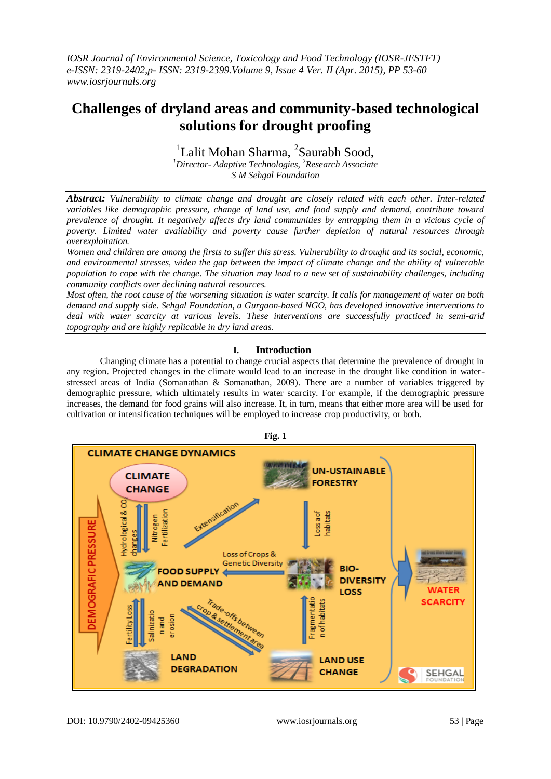# **Challenges of dryland areas and community-based technological solutions for drought proofing**

<sup>1</sup>Lalit Mohan Sharma, <sup>2</sup>Saurabh Sood,

*<sup>1</sup>Director- Adaptive Technologies, <sup>2</sup>Research Associate S M Sehgal Foundation*

*Abstract: Vulnerability to climate change and drought are closely related with each other. Inter-related variables like demographic pressure, change of land use, and food supply and demand, contribute toward prevalence of drought. It negatively affects dry land communities by entrapping them in a vicious cycle of poverty. Limited water availability and poverty cause further depletion of natural resources through overexploitation.*

*Women and children are among the firsts to suffer this stress. Vulnerability to drought and its social, economic, and environmental stresses, widen the gap between the impact of climate change and the ability of vulnerable population to cope with the change. The situation may lead to a new set of sustainability challenges, including community conflicts over declining natural resources.*

*Most often, the root cause of the worsening situation is water scarcity. It calls for management of water on both demand and supply side. Sehgal Foundation, a Gurgaon-based NGO, has developed innovative interventions to deal with water scarcity at various levels. These interventions are successfully practiced in semi-arid topography and are highly replicable in dry land areas.* 

# **I. Introduction**

Changing climate has a potential to change crucial aspects that determine the prevalence of drought in any region. Projected changes in the climate would lead to an increase in the drought like condition in waterstressed areas of India (Somanathan & Somanathan, 2009). There are a number of variables triggered by demographic pressure, which ultimately results in water scarcity. For example, if the demographic pressure increases, the demand for food grains will also increase. It, in turn, means that either more area will be used for cultivation or intensification techniques will be employed to increase crop productivity, or both.



DOI: 10.9790/2402-09425360 www.iosrjournals.org 53 | Page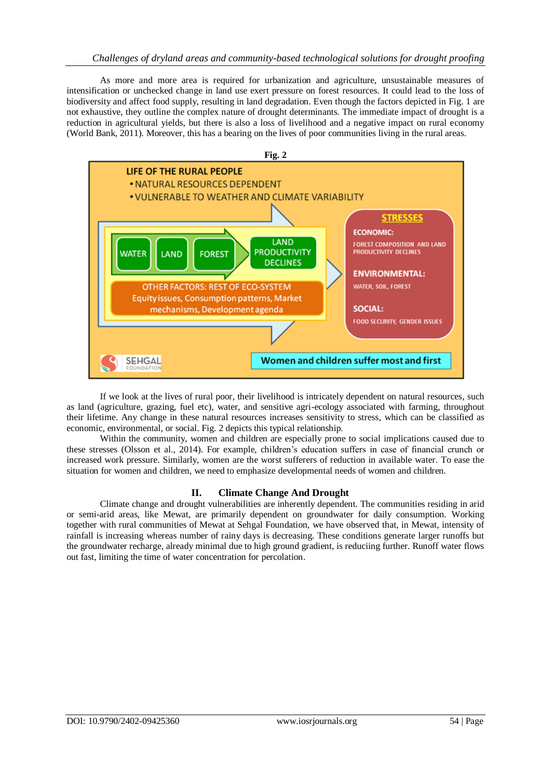# *Challenges of dryland areas and community-based technological solutions for drought proofing*

As more and more area is required for urbanization and agriculture, unsustainable measures of intensification or unchecked change in land use exert pressure on forest resources. It could lead to the loss of biodiversity and affect food supply, resulting in land degradation. Even though the factors depicted in Fig. 1 are not exhaustive, they outline the complex nature of drought determinants. The immediate impact of drought is a reduction in agricultural yields, but there is also a loss of livelihood and a negative impact on rural economy (World Bank, 2011). Moreover, this has a bearing on the lives of poor communities living in the rural areas.



If we look at the lives of rural poor, their livelihood is intricately dependent on natural resources, such as land (agriculture, grazing, fuel etc), water, and sensitive agri-ecology associated with farming, throughout their lifetime. Any change in these natural resources increases sensitivity to stress, which can be classified as economic, environmental, or social. Fig. 2 depicts this typical relationship.

Within the community, women and children are especially prone to social implications caused due to these stresses (Olsson et al., 2014). For example, children's education suffers in case of financial crunch or increased work pressure. Similarly, women are the worst sufferers of reduction in available water. To ease the situation for women and children, we need to emphasize developmental needs of women and children.

### **II. Climate Change And Drought**

Climate change and drought vulnerabilities are inherently dependent. The communities residing in arid or semi-arid areas, like Mewat, are primarily dependent on groundwater for daily consumption. Working together with rural communities of Mewat at Sehgal Foundation, we have observed that, in Mewat, intensity of rainfall is increasing whereas number of rainy days is decreasing. These conditions generate larger runoffs but the groundwater recharge, already minimal due to high ground gradient, is reduciing further. Runoff water flows out fast, limiting the time of water concentration for percolation.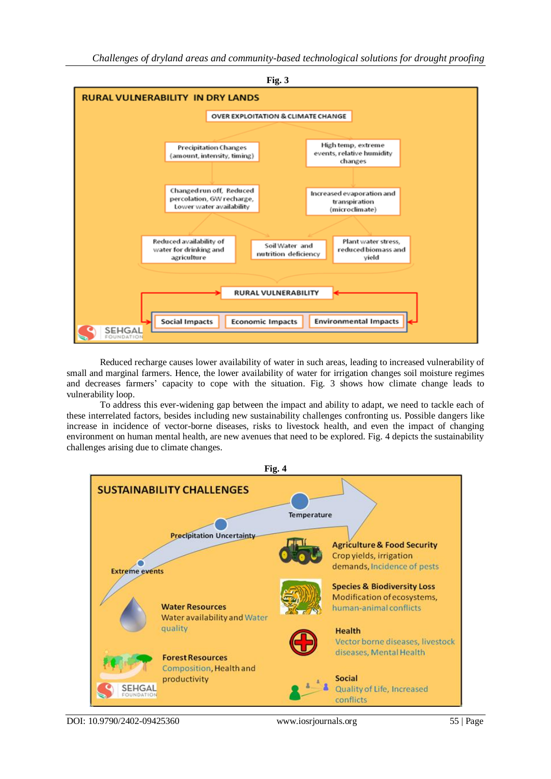

Reduced recharge causes lower availability of water in such areas, leading to increased vulnerability of small and marginal farmers. Hence, the lower availability of water for irrigation changes soil moisture regimes and decreases farmers' capacity to cope with the situation. Fig. 3 shows how climate change leads to vulnerability loop.

To address this ever-widening gap between the impact and ability to adapt, we need to tackle each of these interrelated factors, besides including new sustainability challenges confronting us. Possible dangers like increase in incidence of vector-borne diseases, risks to livestock health, and even the impact of changing environment on human mental health, are new avenues that need to be explored. Fig. 4 depicts the sustainability challenges arising due to climate changes.



DOI: 10.9790/2402-09425360 www.iosrjournals.org 55 | Page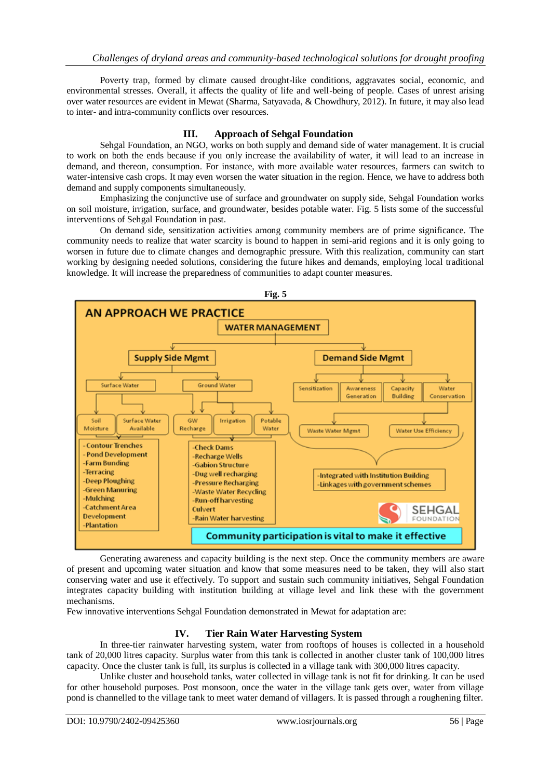Poverty trap, formed by climate caused drought-like conditions, aggravates social, economic, and environmental stresses. Overall, it affects the quality of life and well-being of people. Cases of unrest arising over water resources are evident in Mewat (Sharma, Satyavada, & Chowdhury, 2012). In future, it may also lead to inter- and intra-community conflicts over resources.

## **III. Approach of Sehgal Foundation**

Sehgal Foundation, an NGO, works on both supply and demand side of water management. It is crucial to work on both the ends because if you only increase the availability of water, it will lead to an increase in demand, and thereon, consumption. For instance, with more available water resources, farmers can switch to water-intensive cash crops. It may even worsen the water situation in the region. Hence, we have to address both demand and supply components simultaneously.

Emphasizing the conjunctive use of surface and groundwater on supply side, Sehgal Foundation works on soil moisture, irrigation, surface, and groundwater, besides potable water. Fig. 5 lists some of the successful interventions of Sehgal Foundation in past.

On demand side, sensitization activities among community members are of prime significance. The community needs to realize that water scarcity is bound to happen in semi-arid regions and it is only going to worsen in future due to climate changes and demographic pressure. With this realization, community can start working by designing needed solutions, considering the future hikes and demands, employing local traditional knowledge. It will increase the preparedness of communities to adapt counter measures.



Generating awareness and capacity building is the next step. Once the community members are aware of present and upcoming water situation and know that some measures need to be taken, they will also start conserving water and use it effectively. To support and sustain such community initiatives, Sehgal Foundation integrates capacity building with institution building at village level and link these with the government mechanisms.

Few innovative interventions Sehgal Foundation demonstrated in Mewat for adaptation are:

### **IV. Tier Rain Water Harvesting System**

In three-tier rainwater harvesting system, water from rooftops of houses is collected in a household tank of 20,000 litres capacity. Surplus water from this tank is collected in another cluster tank of 100,000 litres capacity. Once the cluster tank is full, its surplus is collected in a village tank with 300,000 litres capacity.

Unlike cluster and household tanks, water collected in village tank is not fit for drinking. It can be used for other household purposes. Post monsoon, once the water in the village tank gets over, water from village pond is channelled to the village tank to meet water demand of villagers. It is passed through a roughening filter.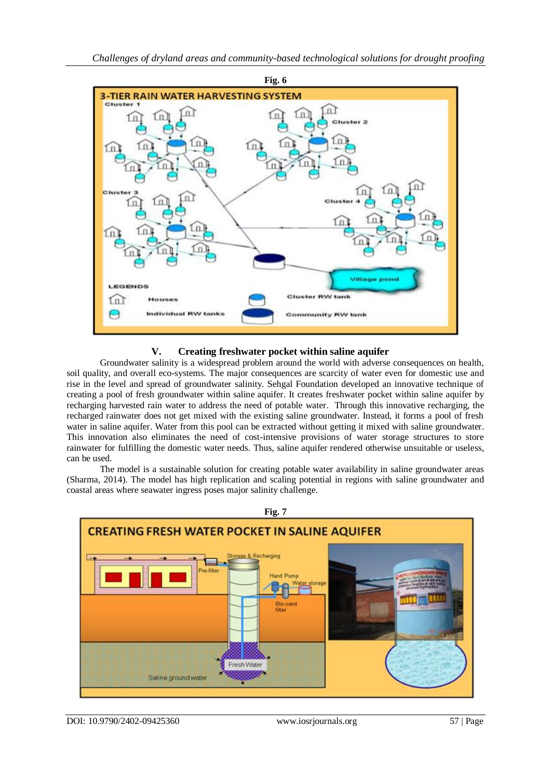

# **V. Creating freshwater pocket within saline aquifer**

Groundwater salinity is a widespread problem around the world with adverse consequences on health, soil quality, and overall eco-systems. The major consequences are scarcity of water even for domestic use and rise in the level and spread of groundwater salinity. Sehgal Foundation developed an innovative technique of creating a pool of fresh groundwater within saline aquifer. It creates freshwater pocket within saline aquifer by recharging harvested rain water to address the need of potable water. Through this innovative recharging, the recharged rainwater does not get mixed with the existing saline groundwater. Instead, it forms a pool of fresh water in saline aquifer. Water from this pool can be extracted without getting it mixed with saline groundwater. This innovation also eliminates the need of cost-intensive provisions of water storage structures to store rainwater for fulfilling the domestic water needs. Thus, saline aquifer rendered otherwise unsuitable or useless, can be used.

The model is a sustainable solution for creating potable water availability in saline groundwater areas (Sharma, 2014). The model has high replication and scaling potential in regions with saline groundwater and coastal areas where seawater ingress poses major salinity challenge.



DOI: 10.9790/2402-09425360 www.iosrjournals.org 57 | Page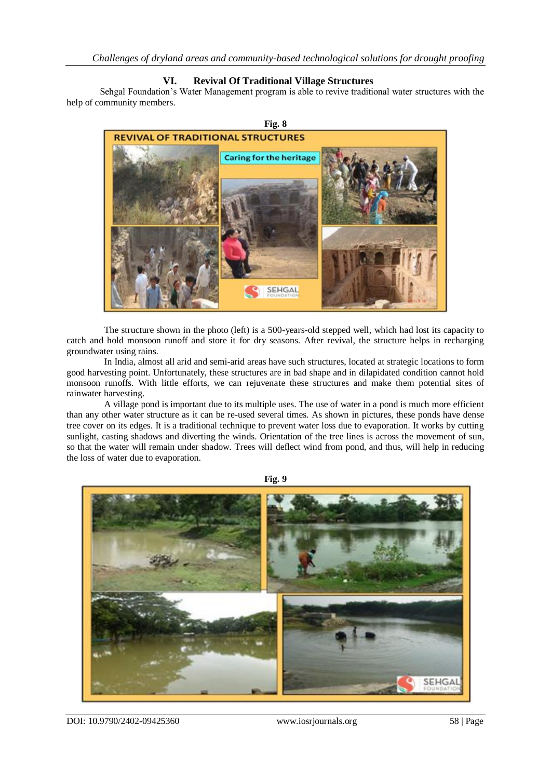## **VI. Revival Of Traditional Village Structures**

Sehgal Foundation's Water Management program is able to revive traditional water structures with the help of community members.



The structure shown in the photo (left) is a 500-years-old stepped well, which had lost its capacity to catch and hold monsoon runoff and store it for dry seasons. After revival, the structure helps in recharging groundwater using rains.

In India, almost all arid and semi-arid areas have such structures, located at strategic locations to form good harvesting point. Unfortunately, these structures are in bad shape and in dilapidated condition cannot hold monsoon runoffs. With little efforts, we can rejuvenate these structures and make them potential sites of rainwater harvesting.

A village pond is important due to its multiple uses. The use of water in a pond is much more efficient than any other water structure as it can be re-used several times. As shown in pictures, these ponds have dense tree cover on its edges. It is a traditional technique to prevent water loss due to evaporation. It works by cutting sunlight, casting shadows and diverting the winds. Orientation of the tree lines is across the movement of sun, so that the water will remain under shadow. Trees will deflect wind from pond, and thus, will help in reducing the loss of water due to evaporation.



**Fig. 9**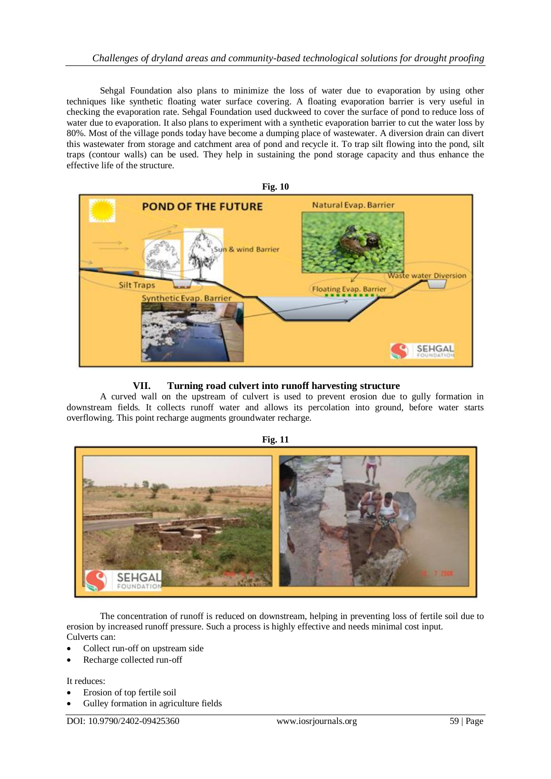Sehgal Foundation also plans to minimize the loss of water due to evaporation by using other techniques like synthetic floating water surface covering. A floating evaporation barrier is very useful in checking the evaporation rate. Sehgal Foundation used duckweed to cover the surface of pond to reduce loss of water due to evaporation. It also plans to experiment with a synthetic evaporation barrier to cut the water loss by 80%. Most of the village ponds today have become a dumping place of wastewater. A diversion drain can divert this wastewater from storage and catchment area of pond and recycle it. To trap silt flowing into the pond, silt traps (contour walls) can be used. They help in sustaining the pond storage capacity and thus enhance the effective life of the structure.



# **VII. Turning road culvert into runoff harvesting structure**

A curved wall on the upstream of culvert is used to prevent erosion due to gully formation in downstream fields. It collects runoff water and allows its percolation into ground, before water starts overflowing. This point recharge augments groundwater recharge.



The concentration of runoff is reduced on downstream, helping in preventing loss of fertile soil due to erosion by increased runoff pressure. Such a process is highly effective and needs minimal cost input. Culverts can:

- Collect run-off on upstream side
- Recharge collected run-off

It reduces:

- Erosion of top fertile soil
- Gulley formation in agriculture fields